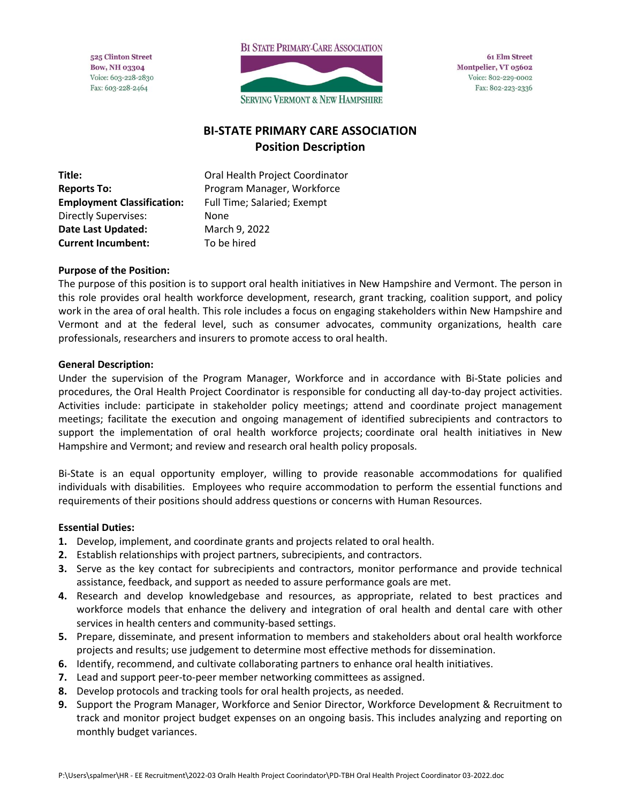525 Clinton Street **Bow, NH 03304** Voice: 603-228-2830 Fax: 603-228-2464



**61 Elm Street** Montpelier, VT 05602 Voice: 802-229-0002 Fax: 802-223-2336

# **BI-STATE PRIMARY CARE ASSOCIATION Position Description**

| Title:                            |
|-----------------------------------|
| <b>Reports To:</b>                |
| <b>Employment Classification:</b> |
| Directly Supervises:              |
| Date Last Updated:                |
| <b>Current Incumbent:</b>         |

**Title:** Oral Health Project Coordinator **Reports To:** Program Manager, Workforce **Full Time; Salaried; Exempt** None **March 9, 2022** To be hired

### **Purpose of the Position:**

The purpose of this position is to support oral health initiatives in New Hampshire and Vermont. The person in this role provides oral health workforce development, research, grant tracking, coalition support, and policy work in the area of oral health. This role includes a focus on engaging stakeholders within New Hampshire and Vermont and at the federal level, such as consumer advocates, community organizations, health care professionals, researchers and insurers to promote access to oral health.

### **General Description:**

Under the supervision of the Program Manager, Workforce and in accordance with Bi-State policies and procedures, the Oral Health Project Coordinator is responsible for conducting all day-to-day project activities. Activities include: participate in stakeholder policy meetings; attend and coordinate project management meetings; facilitate the execution and ongoing management of identified subrecipients and contractors to support the implementation of oral health workforce projects; coordinate oral health initiatives in New Hampshire and Vermont; and review and research oral health policy proposals.

Bi-State is an equal opportunity employer, willing to provide reasonable accommodations for qualified individuals with disabilities. Employees who require accommodation to perform the essential functions and requirements of their positions should address questions or concerns with Human Resources.

#### **Essential Duties:**

- **1.** Develop, implement, and coordinate grants and projects related to oral health.
- **2.** Establish relationships with project partners, subrecipients, and contractors.
- **3.** Serve as the key contact for subrecipients and contractors, monitor performance and provide technical assistance, feedback, and support as needed to assure performance goals are met.
- **4.** Research and develop knowledgebase and resources, as appropriate, related to best practices and workforce models that enhance the delivery and integration of oral health and dental care with other services in health centers and community-based settings.
- **5.** Prepare, disseminate, and present information to members and stakeholders about oral health workforce projects and results; use judgement to determine most effective methods for dissemination.
- **6.** Identify, recommend, and cultivate collaborating partners to enhance oral health initiatives.
- **7.** Lead and support peer-to-peer member networking committees as assigned.
- **8.** Develop protocols and tracking tools for oral health projects, as needed.
- **9.** Support the Program Manager, Workforce and Senior Director, Workforce Development & Recruitment to track and monitor project budget expenses on an ongoing basis. This includes analyzing and reporting on monthly budget variances.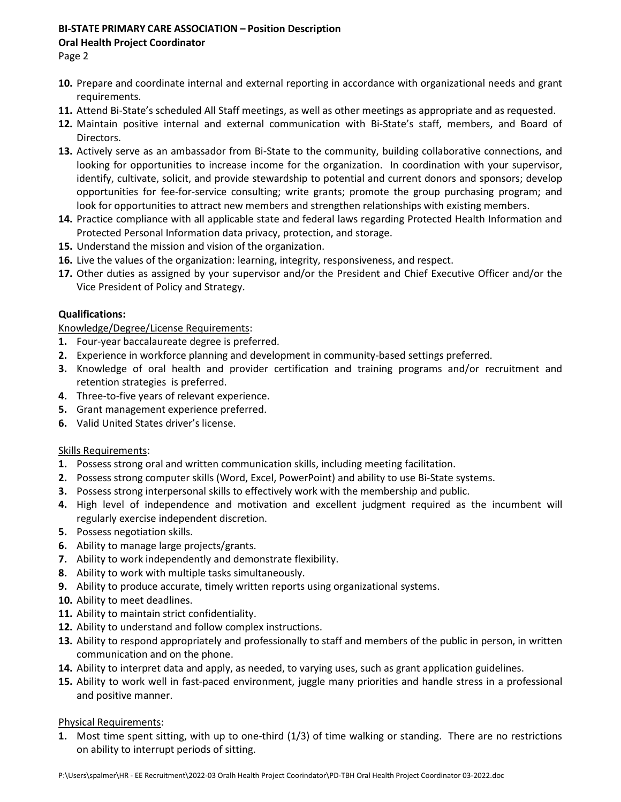## **BI-STATE PRIMARY CARE ASSOCIATION – Position Description**

## **Oral Health Project Coordinator**

Page 2

- **10.** Prepare and coordinate internal and external reporting in accordance with organizational needs and grant requirements.
- **11.** Attend Bi-State's scheduled All Staff meetings, as well as other meetings as appropriate and as requested.
- **12.** Maintain positive internal and external communication with Bi-State's staff, members, and Board of Directors.
- **13.** Actively serve as an ambassador from Bi-State to the community, building collaborative connections, and looking for opportunities to increase income for the organization. In coordination with your supervisor, identify, cultivate, solicit, and provide stewardship to potential and current donors and sponsors; develop opportunities for fee-for-service consulting; write grants; promote the group purchasing program; and look for opportunities to attract new members and strengthen relationships with existing members.
- **14.** Practice compliance with all applicable state and federal laws regarding Protected Health Information and Protected Personal Information data privacy, protection, and storage.
- **15.** Understand the mission and vision of the organization.
- **16.** Live the values of the organization: learning, integrity, responsiveness, and respect.
- **17.** Other duties as assigned by your supervisor and/or the President and Chief Executive Officer and/or the Vice President of Policy and Strategy.

# **Qualifications:**

Knowledge/Degree/License Requirements:

- **1.** Four-year baccalaureate degree is preferred.
- **2.** Experience in workforce planning and development in community-based settings preferred.
- **3.** Knowledge of oral health and provider certification and training programs and/or recruitment and retention strategies is preferred.
- **4.** Three-to-five years of relevant experience.
- **5.** Grant management experience preferred.
- **6.** Valid United States driver's license.

# Skills Requirements:

- **1.** Possess strong oral and written communication skills, including meeting facilitation.
- **2.** Possess strong computer skills (Word, Excel, PowerPoint) and ability to use Bi-State systems.
- **3.** Possess strong interpersonal skills to effectively work with the membership and public.
- **4.** High level of independence and motivation and excellent judgment required as the incumbent will regularly exercise independent discretion.
- **5.** Possess negotiation skills.
- **6.** Ability to manage large projects/grants.
- **7.** Ability to work independently and demonstrate flexibility.
- **8.** Ability to work with multiple tasks simultaneously.
- **9.** Ability to produce accurate, timely written reports using organizational systems.
- **10.** Ability to meet deadlines.
- **11.** Ability to maintain strict confidentiality.
- **12.** Ability to understand and follow complex instructions.
- **13.** Ability to respond appropriately and professionally to staff and members of the public in person, in written communication and on the phone.
- **14.** Ability to interpret data and apply, as needed, to varying uses, such as grant application guidelines.
- **15.** Ability to work well in fast-paced environment, juggle many priorities and handle stress in a professional and positive manner.

### Physical Requirements:

**1.** Most time spent sitting, with up to one-third (1/3) of time walking or standing. There are no restrictions on ability to interrupt periods of sitting.